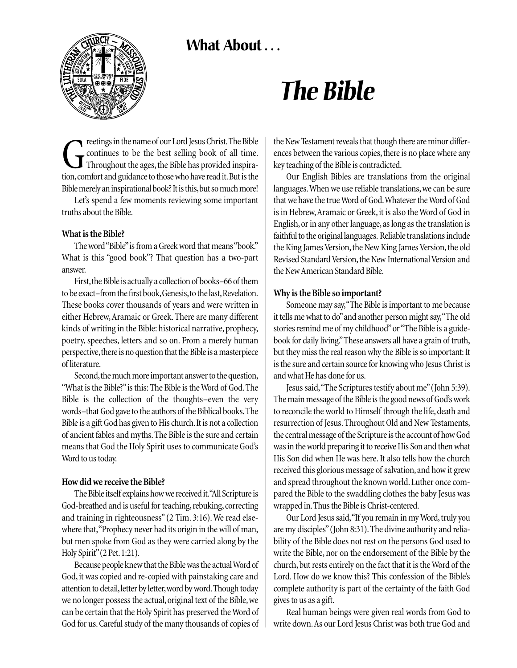## What About ...



# *The Bible*

reetings in the name of our Lord Jesus Christ. The Bible<br>Continues to be the best selling book of all time.<br>Throughout the ages, the Bible has provided inspira-<br>tion, comfort and guidance to those who have read it. But is continues to be the best selling book of all time. Throughout the ages, the Bible has provided inspiration, comfort and guidance to those who have read it. But is the Bible merely an inspirational book? It is this, but so much more!

Let's spend a few moments reviewing some important truths about the Bible.

#### **What is the Bible?**

The word "Bible"is from a Greek word that means "book." What is this "good book"? That question has a two-part answer.

First, the Bible is actually a collection of books–66 of them to be exact–from the first book, Genesis, to the last, Revelation. These books cover thousands of years and were written in either Hebrew, Aramaic or Greek. There are many different kinds of writing in the Bible: historical narrative, prophecy, poetry, speeches, letters and so on. From a merely human perspective, there is no question that the Bible is a masterpiece of literature.

Second, the much more important answer to the question, "What is the Bible?"is this: The Bible is the Word of God.The Bible is the collection of the thoughts–even the very words–that God gave to the authors of the Biblical books.The Bible is a gift God has given to His church. It is not a collection of ancient fables and myths.The Bible is the sure and certain means that God the Holy Spirit uses to communicate God's Word to us today.

### **How did we receive the Bible?**

The Bible itself explains how we received it."All Scripture is God-breathed and is useful for teaching, rebuking, correcting and training in righteousness" (2 Tim. 3:16). We read elsewhere that, "Prophecy never had its origin in the will of man, but men spoke from God as they were carried along by the Holy Spirit"(2 Pet.1:21).

Because people knew that the Bible was the actual Word of God, it was copied and re-copied with painstaking care and attention to detail, letter by letter, word by word. Though today we no longer possess the actual, original text of the Bible, we can be certain that the Holy Spirit has preserved the Word of God for us.Careful study of the many thousands of copies of the New Testament reveals that though there are minor differences between the various copies, there is no place where any key teaching of the Bible is contradicted.

Our English Bibles are translations from the original languages.When we use reliable translations, we can be sure that we have the true Word of God.Whatever the Word of God is in Hebrew,Aramaic or Greek, it is also the Word of God in English, or in any other language, as long as the translation is faithful to the original languages. Reliable translations include the King James Version, the New King James Version, the old Revised Standard Version, the New International Version and the New American Standard Bible.

#### **Why is the Bible so important?**

Someone may say,"The Bible is important to me because it tells me what to do"and another person might say,"The old stories remind me of my childhood"or "The Bible is a guidebook for daily living."These answers all have a grain of truth, but they miss the real reason why the Bible is so important: It is the sure and certain source for knowing who Jesus Christ is and what He has done for us.

Jesus said,"The Scriptures testify about me"(John 5:39). The main message of the Bible is the good news of God's work to reconcile the world to Himself through the life, death and resurrection of Jesus. Throughout Old and New Testaments, the central message of the Scripture is the account of how God was in the world preparing it to receive His Son and then what His Son did when He was here. It also tells how the church received this glorious message of salvation, and how it grew and spread throughout the known world. Luther once compared the Bible to the swaddling clothes the baby Jesus was wrapped in.Thus the Bible is Christ-centered.

Our Lord Jesus said, "If you remain in my Word, truly you are my disciples" (John 8:31). The divine authority and reliability of the Bible does not rest on the persons God used to write the Bible, nor on the endorsement of the Bible by the church, but rests entirely on the fact that it is the Word of the Lord. How do we know this? This confession of the Bible's complete authority is part of the certainty of the faith God gives to us as a gift.

Real human beings were given real words from God to write down.As our Lord Jesus Christ was both true God and